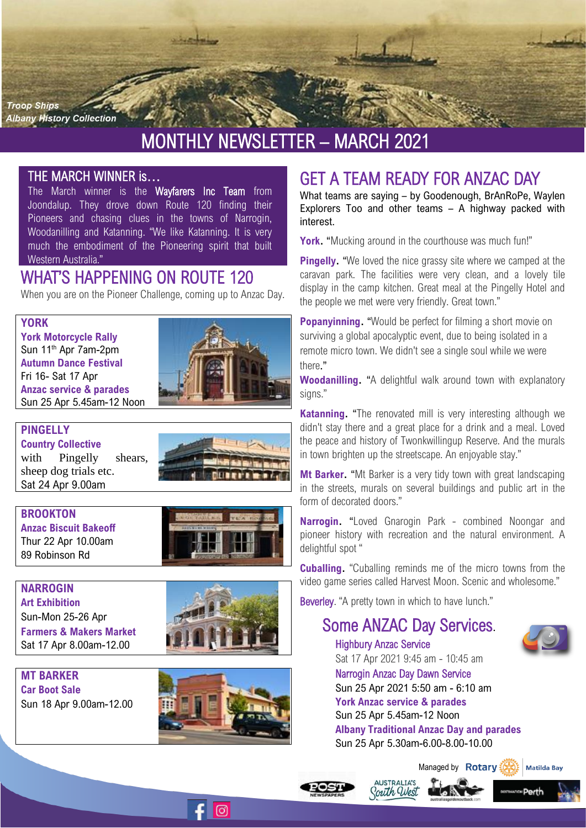

# MONTHLY NEWSLETTER – MARCH 2021

### THE MARCH WINNER is…

The March winner is the Wayfarers Inc Team from Joondalup. They drove down Route 120 finding their Pioneers and chasing clues in the towns of Narrogin, Woodanilling and Katanning. "We like Katanning. It is very much the embodiment of the Pioneering spirit that built Western Australia."

## WHAT'S HAPPENING ON ROUTE 120

When you are on the Pioneer Challenge, coming up to Anzac Day.

#### **YORK**

**York Motorcycle Rally** Sun 11th Apr 7am-2pm **Autumn Dance Festival** Fri 16- Sat 17 Apr **Anzac service & parades**  Sun 25 Apr 5.45am-12 Noon



#### **PINGELLY**

**Country Collective**  with Pingelly shears, sheep dog trials etc. Sat 24 Apr 9.00am



**BROOKTON Anzac Biscuit Bakeoff** Thur 22 Apr 10.00am 89 Robinson Rd



**NARROGIN Art Exhibition** Sun-Mon 25-26 Apr **Farmers & Makers Market** Sat 17 Apr 8.00am-12.00



**MT BARKER Car Boot Sale** Sun 18 Apr 9.00am-12.00



 $\odot$ 

# GET A TEAM READY FOR ANZAC DAY

What teams are saying – by Goodenough, BrAnRoPe, Waylen Explorers Too and other teams – A highway packed with interest.

**York.** "Mucking around in the courthouse was much fun!"

**Pingelly.** "We loved the nice grassy site where we camped at the caravan park. The facilities were very clean, and a lovely tile display in the camp kitchen. Great meal at the Pingelly Hotel and the people we met were very friendly. Great town."

**Popanyinning.** "Would be perfect for filming a short movie on surviving a global apocalyptic event, due to being isolated in a remote micro town. We didn't see a single soul while we were there."

**Woodanilling.** "A delightful walk around town with explanatory signs."

**Katanning.** "The renovated mill is very interesting although we didn't stay there and a great place for a drink and a meal. Loved the peace and history of Twonkwillingup Reserve. And the murals in town brighten up the streetscape. An enjoyable stay."

**Mt Barker.** "Mt Barker is a very tidy town with great landscaping in the streets, murals on several buildings and public art in the form of decorated doors."

**Narrogin.** "Loved Gnarogin Park - combined Noongar and pioneer history with recreation and the natural environment. A delightful spot "

**Cuballing.** "Cuballing reminds me of the micro towns from the video game series called Harvest Moon. Scenic and wholesome."

Beverley. "A pretty town in which to have lunch."

# Some ANZAC Day Services.



Highbury Anzac Service Sat 17 Apr 2021 9:45 am - 10:45 am Narrogi[n Anzac Day Dawn Service](https://www.narrogin.wa.gov.au/events/anzac-day-dawn-service/10541)  Sun 25 Apr 2021 5:50 am - 6:10 am **York Anzac service & parades**  Sun 25 Apr 5.45am-12 Noon **Albany Traditional Anzac Day and parades** Sun 25 Apr 5.30am-6.00-8.00-10.00



 $\blacksquare$